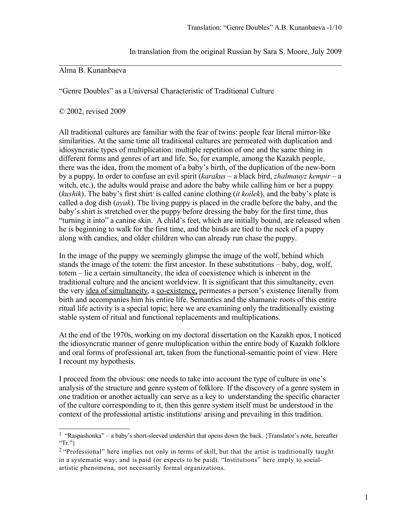In translation from the original Russian by Sara S. Moore, July 2009

## Alma B. Kunanbaeva

"Genre Doubles" as a Universal Characteristic of Traditional Culture

© 2002, revised 2009

All traditional cultures are familiar with the fear of twins: people fear literal mirror-like similarities. At the same time all traditional cultures are permeated with duplication and idiosyncratic types of multiplication: multiple repetition of one and the same thing in different forms and genres of art and life. So, for example, among the Kazakh people, there was the idea, from the moment of a baby's birth, of the duplication of the new-born by a puppy. In order to confuse an evil spirit (*karakus* – a black bird, *zhalmauyz kempir* – a witch, etc.), the adults would praise and adore the baby while calling him or her a puppy (*kushik*). The baby's first shirt' is called canine clothing (*it koilek*), and the baby's plate is called a dog dish (*ayak*). The living puppy is placed in the cradle before the baby, and the baby's shirt is stretched over the puppy before dressing the baby for the first time, thus "turning it into" a canine skin. A child's feet, which are initially bound, are released when he is beginning to walk for the first time, and the binds are tied to the neck of a puppy along with candies, and older children who can already run chase the puppy.

In the image of the puppy we seemingly glimpse the image of the wolf, behind which stands the image of the totem: the first ancestor. In these substitutions – baby, dog, wolf, totem – lie a certain simultaneity, the idea of coexistence which is inherent in the traditional culture and the ancient worldview. It is significant that this simultaneity, even the very idea of simultaneity, a co-existence, permeates a person's existence literally from birth and accompanies him his entire life. Semantics and the shamanic roots of this entire ritual life activity is a special topic; here we are examining only the traditionally existing stable system of ritual and functional replacements and multiplications.

At the end of the 1970s, working on my doctoral dissertation on the Kazakh epos, I noticed the idiosyncratic manner of genre multiplication within the entire body of Kazakh folklore and oral forms of professional art, taken from the functional-semantic point of view. Here I recount my hypothesis.

I proceed from the obvious: one needs to take into account the type of culture in one's analysis of the structure and genre system of folklore. If the discovery of a genre system in one tradition or another actually can serve as a key to understanding the specific character of the culture corresponding to it, then this genre system itself must be understood in the context of the professional artistic institutions<sup>[2](#page-0-1)</sup> arising and prevailing in this tradition.

<span id="page-0-0"></span><sup>&</sup>lt;sup>1</sup> "Raspashonka" – a baby's short-sleeved undershirt that opens down the back. {Translator's note, hereafter "Tr." $\}$ 

<span id="page-0-1"></span> $2$  "Professional" here implies not only in terms of skill, but that the artist is traditionally taught in a systematic way, and is paid (or expects to be paid). "Institutions" here imply to socialartistic phenomena, not necessarily formal organizations.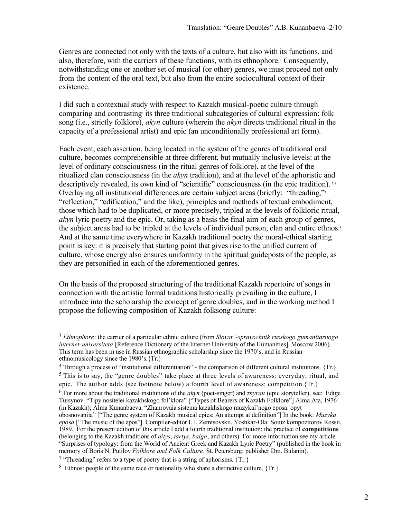Genres are connected not only with the texts of a culture, but also with its functions, and also, therefore, with the carriers of these functions, with its ethnophore.<sup>[3](#page-1-0)</sup> Consequently, notwithstanding one or another set of musical (or other) genres, we must proceed not only from the content of the oral text, but also from the entire sociocultural context of their existence.

I did such a contextual study with respect to Kazakh musical-poetic culture through comparingand contrasting<sup>4</sup> its three traditional subcategories of cultural expression: folk song (i.e., strictly folklore), *akyn* culture (wherein the *akyn* directs traditional ritual in the capacity of a professional artist) and epic (an unconditionally professional art form).

Each event, each assertion, being located in the system of the genres of traditional oral culture, becomes comprehensible at three different, but mutually inclusive levels: at the level of ordinary consciousness (in the ritual genres of folklore), at the level of the ritualized clan consciousness (in the *akyn* tradition), and at the level of the aphoristic and descriptively revealed, its own kind of "scientific" consciousness (in the epic tradition). [5](#page-1-2),[6](#page-1-3) Overlaying all institutional differences are certain subject areas (briefly: ["](#page-1-4)threading," "reflection," "edification," and the like), principles and methods of textual embodiment, those which had to be duplicated, or more precisely, tripled at the levels of folkloric ritual, *akyn* lyric poetry and the epic. Or, taking as a basis the final aim of each group of genres, the subject areas had to be tripled at the levels of individual person, clan and entire ethnos[.](#page-1-5)<sup>8</sup> And at the same time everywhere in Kazakh traditional poetry the moral-ethical starting point is key: it is precisely that starting point that gives rise to the unified current of culture, whose energy also ensures uniformity in the spiritual guideposts of the people, as they are personified in each of the aforementioned genres.

On the basis of the proposed structuring of the traditional Kazakh repertoire of songs in connection with the artistic formal traditions historically prevailing in the culture, I introduce into the scholarship the concept of genre doubles, and in the working method I propose the following composition of Kazakh folksong culture:

<span id="page-1-0"></span><sup>3</sup> *Ethnophore*: the carrier of a particular ethnic culture (from *Slovar'-spravochnik russkogo gumanitarnogo internet-universiteta* [Reference Dictionary of the Internet University of the Humanities]. Moscow 2006). This term has been in use in Russian ethnographic scholarship since the 1970's, and in Russian ethnomusicology since the 1980's.{Tr.}

<span id="page-1-2"></span><span id="page-1-1"></span><sup>&</sup>lt;sup>4</sup> Through a process of "institutional differentiation" - the comparison of different cultural institutions. {Tr.}  $<sup>5</sup>$  This is to say, the "genre doubles" take place at three levels of awareness: everyday, ritual, and</sup> epic. The author adds (see footnote below) a fourth level of awareness: competition.{Tr.}

<span id="page-1-3"></span><sup>6</sup> For more about the traditional institutions of the *akyn* (poet-singer) and *zhyrau* (epic storyteller), see: Edige Tursynov. "Tipy nositelei kazakhskogo fol'klora" ["Types of Bearers of Kazakh Folklore"] Alma Ata, 1976 (in Kazakh); Alma Kunanbaeva. "Zhanrovaia sistema kazakhskogo muzykal'nogo eposa: opyt

obosnovaniia" ["The genre system of Kazakh musical epics: An attempt at definition"] In the book: *Muzyka epo*s*a* ["The music of the epos"]. Compiler-editor I. I. Zemtsovskii. Yoshkar-Ola: Soiuz kompozitorov Rossii, 1989. For the present edition of this article I add a fourth traditional institution: the practice of **competitions** (belonging to the Kazakh traditions of *aitys*, *tartys*, *baiga*, and others). For more information see my article "Surprises of typology: from the World of Ancient Greek and Kazakh Lyric Poetry" (published in the book in memory of Boris N. Putilov *Folklore and Folk Culture.* St. Petersburg: publisher Dm. Bulanin).

<span id="page-1-4"></span><sup>&</sup>lt;sup>7</sup> "Threading" refers to a type of poetry that is a string of aphorisms.  $\{Tr.\}$ 

<span id="page-1-5"></span><sup>&</sup>lt;sup>8</sup> Ethnos: people of the same race or nationality who share a distinctive culture. {Tr.}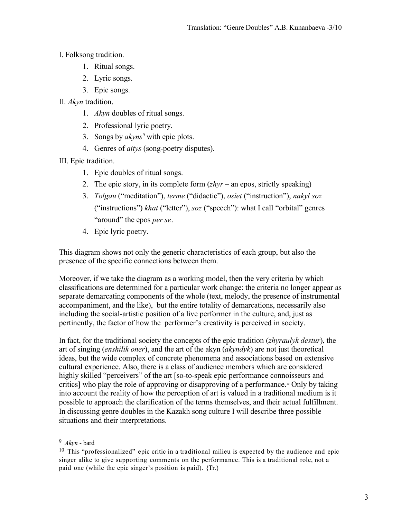- I. Folksong tradition.
	- 1. Ritual songs.
	- 2. Lyric songs.
	- 3. Epic songs.
- II. *Akyn* tradition.
	- 1. *Akyn* doubles of ritual songs.
	- 2. Professional lyric poetry.
	- 3. Songs by *akyns*[9](#page-2-0) with epic plots.
	- 4. Genres of *aitys* (song-poetry disputes).

III. Epic tradition.

- 1. Epic doubles of ritual songs.
- 2. The epic story, in its complete form  $(z<sub>h</sub>)<sub>r</sub>$  an epos, strictly speaking)
- 3. *Tolgau* ("meditation"), *terme* ("didactic"), *osiet* ("instruction"), *nakyl soz* ("instructions") *khat* ("letter"), *soz* ("speech"): what I call "orbital" genres "around" the epos *per se*.
- 4. Epic lyric poetry.

This diagram shows not only the generic characteristics of each group, but also the presence of the specific connections between them.

Moreover, if we take the diagram as a working model, then the very criteria by which classifications are determined for a particular work change: the criteria no longer appear as separate demarcating components of the whole (text, melody, the presence of instrumental accompaniment, and the like), but the entire totality of demarcations, necessarily also including the social-artistic position of a live performer in the culture, and, just as pertinently, the factor of how the performer's creativity is perceived in society.

In fact, for the traditional society the concepts of the epic tradition (*zhyraulyk destur*), the art of singing (*enshilik oner*), and the art of the akyn (*akyndyk*) are not just theoretical ideas, but the wide complex of concrete phenomena and associations based on extensive cultural experience. Also, there is a class of audience members which are considered highly skilled "perceivers" of the art [so-to-speak epic performance connoisseurs and critics] who play the role of approving or disapproving of a performance.[10](#page-2-1) Only by taking into account the reality of how the perception of art is valued in a traditional medium is it possible to approach the clarification of the terms themselves, and their actual fulfillment. In discussing genre doubles in the Kazakh song culture I will describe three possible situations and their interpretations.

<span id="page-2-0"></span><sup>9</sup> *Akyn* - bard

<span id="page-2-1"></span> $10$  This "professionalized" epic critic in a traditional milieu is expected by the audience and epic singer alike to give supporting comments on the performance. This is a traditional role, not a paid one (while the epic singer's position is paid). {Tr.}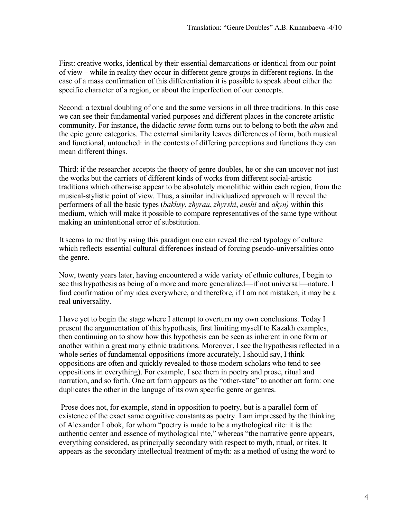First: creative works, identical by their essential demarcations or identical from our point of view – while in reality they occur in different genre groups in different regions. In the case of a mass confirmation of this differentiation it is possible to speak about either the specific character of a region, or about the imperfection of our concepts.

Second: a textual doubling of one and the same versions in all three traditions. In this case we can see their fundamental varied purposes and different places in the concrete artistic community. For instance**,** the didactic *terme* form turns out to belong to both the *akyn* and the epic genre categories. The external similarity leaves differences of form, both musical and functional, untouched: in the contexts of differing perceptions and functions they can mean different things.

Third: if the researcher accepts the theory of genre doubles, he or she can uncover not just the works but the carriers of different kinds of works from different social-artistic traditions which otherwise appear to be absolutely monolithic within each region, from the musical-stylistic point of view. Thus, a similar individualized approach will reveal the performers of all the basic types (*bakhsy*, *zhyrau*, *zhyrshi*, *enshi* and *akyn)* within this medium, which will make it possible to compare representatives of the same type without making an unintentional error of substitution.

It seems to me that by using this paradigm one can reveal the real typology of culture which reflects essential cultural differences instead of forcing pseudo-universalities onto the genre.

Now, twenty years later, having encountered a wide variety of ethnic cultures, I begin to see this hypothesis as being of a more and more generalized—if not universal—nature. I find confirmation of my idea everywhere, and therefore, if I am not mistaken, it may be a real universality.

I have yet to begin the stage where I attempt to overturn my own conclusions. Today I present the argumentation of this hypothesis, first limiting myself to Kazakh examples, then continuing on to show how this hypothesis can be seen as inherent in one form or another within a great many ethnic traditions. Moreover, I see the hypothesis reflected in a whole series of fundamental oppositions (more accurately, I should say, I think oppositions are often and quickly revealed to those modern scholars who tend to see oppositions in everything). For example, I see them in poetry and prose, ritual and narration, and so forth. One art form appears as the "other-state" to another art form: one duplicates the other in the languge of its own specific genre or genres.

 Prose does not, for example, stand in opposition to poetry, but is a parallel form of existence of the exact same cognitive constants as poetry. I am impressed by the thinking of Alexander Lobok, for whom "poetry is made to be a mythological rite: it is the authentic center and essence of mythological rite," whereas "the narrative genre appears, everything considered, as principally secondary with respect to myth, ritual, or rites. It appears as the secondary intellectual treatment of myth: as a method of using the word to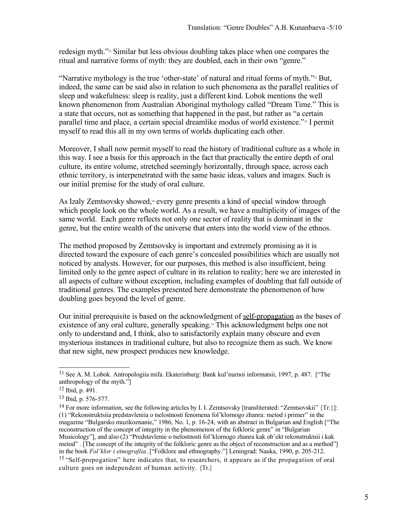redesign myth."[11](#page-4-0) Similar but less obvious doubling takes place when one compares the ritual and narrative forms of myth: they are doubled, each in their own "genre."

"Narrative mythology is the true 'other-state' of natural and ritual forms of myth."[12](#page-4-1) But, indeed, the same can be said also in relation to such phenomena as the parallel realities of sleep and wakefulness: sleep is reality, just a different kind. Lobok mentions the well known phenomenon from Australian Aboriginal mythology called "Dream Time." This is a state that occurs, not as something that happened in the past, but rather as "a certain parallel time and place, a certain special dreamlike modus of world existence."[13](#page-4-2) I permit myself to read this all in my own terms of worlds duplicating each other.

Moreover, I shall now permit myself to read the history of traditional culture as a whole in this way. I see a basis for this approach in the fact that practically the entire depth of oral culture, its entire volume, stretched seemingly horizontally, through space, across each ethnic territory, is interpenetrated with the same basic ideas, values and images. Such is our initial premise for the study of oral culture.

As Izaly Zemtsovsky showed,[14](#page-4-3) every genre presents a kind of special window through which people look on the whole world. As a result, we have a multiplicity of images of the same world. Each genre reflects not only one sector of reality that is dominant in the genre, but the entire wealth of the universe that enters into the world view of the ethnos.

The method proposed by Zemtsovsky is important and extremely promising as it is directed toward the exposure of each genre's concealed possibilities which are usually not noticed by analysts. However, for our purposes, this method is also insufficient, being limited only to the genre aspect of culture in its relation to reality; here we are interested in all aspects of culture without exception, including examples of doubling that fall outside of traditional genres. The examples presented here demonstrate the phenomenon of how doubling goes beyond the level of genre.

Our initial prerequisite is based on the acknowledgment of self-propagation as the bases of existence of any oral culture, generally speaking.[15](#page-4-4) This acknowledgment helps one not only to understand and, I think, also to satisfactorily explain many obscure and even mysterious instances in traditional culture, but also to recognize them as such. We know that new sight, new prospect produces new knowledge.

<span id="page-4-0"></span><sup>11</sup> See A. M. Lobok. Antropologiia mifa. Ekaterinburg: Bank kul'nurnoi informatsii, 1997, p. 487. ["The anthropology of the myth."]

<span id="page-4-1"></span><sup>12</sup> Ibid, p. 491.

<span id="page-4-2"></span><sup>13</sup> Ibid, p. 576-577.

<span id="page-4-4"></span><span id="page-4-3"></span><sup>&</sup>lt;sup>14</sup> For more information, see the following articles by I. I. Zemtsovsky [transliterated: "Zemtsovskii" {Tr.}]: (1) "Rekonstruktsiia predstavleniia o tselostnosti fenomena fol'klornogo zhanra: metod i primer" in the magazine "Bulgarsko muzikoznanie," 1986, No. 1, p. 16-24, with an abstract in Bulgarian and English ["The reconstruction of the concept of integrity in the phenomenon of the folkloric genre" in "Bulgarian Musicology"], and also (2) "Predstavlenie o tselostnosti fol'klornogo zhanra kak ob'ekt rekonstruktsii i kak metod". [The concept of the integrity of the folkloric genre as the object of reconstruction and as a method"] in the book *Fol'klor i etnografiia*. ["Folklore and ethnography."] Leningrad: Nauka, 1990, p. 205-212. <sup>15</sup> "Self-propogation" here indicates that, to researchers, it appears as if the propagation of oral culture goes on independent of human activity. {Tr.}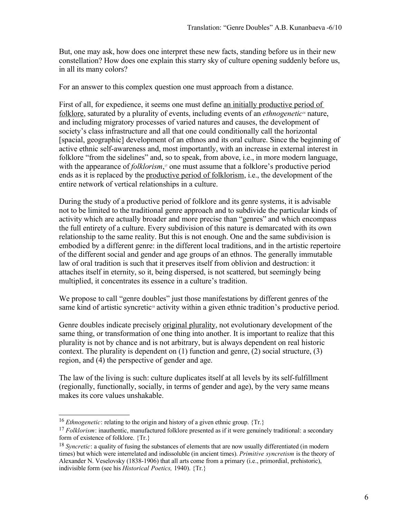But, one may ask, how does one interpret these new facts, standing before us in their new constellation? How does one explain this starry sky of culture opening suddenly before us, in all its many colors?

For an answer to this complex question one must approach from a distance.

First of all, for expedience, it seems one must define an initially productive period of folklore, saturated by a plurality of events, including events of an *ethnogenetic[16](#page-5-0)* nature, and including migratory processes of varied natures and causes, the development of society's class infrastructure and all that one could conditionally call the horizontal [spacial, geographic] development of an ethnos and its oral culture. Since the beginning of active ethnic self-awareness and, most importantly, with an increase in external interest in folklore "from the sidelines" and, so to speak, from above, i.e., in more modern language, with the appearance of *folklorism*, [17](#page-5-1) one must assume that a folklore's productive period ends as it is replaced by the productive period of folklorism, i.e., the development of the entire network of vertical relationships in a culture.

During the study of a productive period of folklore and its genre systems, it is advisable not to be limited to the traditional genre approach and to subdivide the particular kinds of activity which are actually broader and more precise than "genres" and which encompass the full entirety of a culture. Every subdivision of this nature is demarcated with its own relationship to the same reality. But this is not enough. One and the same subdivision is embodied by a different genre: in the different local traditions, and in the artistic repertoire of the different social and gender and age groups of an ethnos. The generally immutable law of oral tradition is such that it preserves itself from oblivion and destruction: it attaches itself in eternity, so it, being dispersed, is not scattered, but seemingly being multiplied, it concentrates its essence in a culture's tradition.

We propose to call "genre doubles" just those manifestations by different genres of the same kind of artistic syncretic<sup>[18](#page-5-2)</sup> activity within a given ethnic tradition's productive period.

Genre doubles indicate precisely original plurality, not evolutionary development of the same thing, or transformation of one thing into another. It is important to realize that this plurality is not by chance and is not arbitrary, but is always dependent on real historic context. The plurality is dependent on (1) function and genre, (2) social structure, (3) region, and (4) the perspective of gender and age.

The law of the living is such: culture duplicates itself at all levels by its self-fulfillment (regionally, functionally, socially, in terms of gender and age), by the very same means makes its core values unshakable.

<span id="page-5-0"></span><sup>&</sup>lt;sup>16</sup> *Ethnogenetic*: relating to the origin and history of a given ethnic group. {Tr.}

<span id="page-5-1"></span><sup>&</sup>lt;sup>17</sup> *Folklorism*: inauthentic, manufactured folklore presented as if it were genuinely traditional: a secondary form of existence of folklore. {Tr.}

<span id="page-5-2"></span><sup>18</sup> *Syncretic*: a quality of fusing the substances of elements that are now usually differentiated (in modern times) but which were interrelated and indissoluble (in ancient times). *Primitive syncretism* is the theory of Alexander N. Veselovsky (1838-1906) that all arts come from a primary (i.e., primordial, prehistoric), indivisible form (see his *Historical Poetics,* 1940). {Tr.}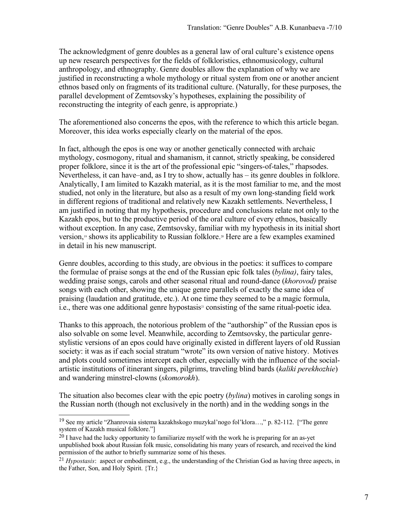The acknowledgment of genre doubles as a general law of oral culture's existence opens up new research perspectives for the fields of folkloristics, ethnomusicology, cultural anthropology, and ethnography. Genre doubles allow the explanation of why we are justified in reconstructing a whole mythology or ritual system from one or another ancient ethnos based only on fragments of its traditional culture. (Naturally, for these purposes, the parallel development of Zemtsovsky's hypotheses, explaining the possibility of reconstructing the integrity of each genre, is appropriate.)

The aforementioned also concerns the epos, with the reference to which this article began. Moreover, this idea works especially clearly on the material of the epos.

In fact, although the epos is one way or another genetically connected with archaic mythology, cosmogony, ritual and shamanism, it cannot, strictly speaking, be considered proper folklore, since it is the art of the professional epic "singers-of-tales," rhapsodes. Nevertheless, it can have–and, as I try to show, actually has – its genre doubles in folklore. Analytically, I am limited to Kazakh material, as it is the most familiar to me, and the most studied, not only in the literature, but also as a result of my own long-standing field work in different regions of traditional and relatively new Kazakh settlements. Nevertheless, I am justified in noting that my hypothesis, procedure and conclusions relate not only to the Kazakh epos, but to the productive period of the oral culture of every ethnos, basically without exception. In any case, Zemtsovsky, familiar with my hypothesis in its initial short version,<sup>[19](#page-6-0)</sup> shows its applicability to Russian folklore.<sup>[20](#page-6-1)</sup> Here are a few examples examined in detail in his new manuscript.

Genre doubles, according to this study, are obvious in the poetics: it suffices to compare the formulae of praise songs at the end of the Russian epic folk tales (*bylina)*, fairy tales, wedding praise songs, carols and other seasonal ritual and round-dance (*khorovod)* praise songs with each other, showing the unique genre parallels of exactly the same idea of praising (laudation and gratitude, etc.). At one time they seemed to be a magic formula, i.e., there was one additional genre hypostasis<sup>[21](#page-6-2)</sup> consisting of the same ritual-poetic idea.

Thanks to this approach, the notorious problem of the "authorship" of the Russian epos is also solvable on some level. Meanwhile, according to Zemtsovsky, the particular genrestylistic versions of an epos could have originally existed in different layers of old Russian society: it was as if each social stratum "wrote" its own version of native history. Motives and plots could sometimes intercept each other, especially with the influence of the socialartistic institutions of itinerant singers, pilgrims, traveling blind bards (*kaliki perekhozhie*) and wandering minstrel-clowns (*skomorokh*).

The situation also becomes clear with the epic poetry (*bylina*) motives in caroling songs in the Russian north (though not exclusively in the north) and in the wedding songs in the

<span id="page-6-0"></span><sup>19</sup> See my article "Zhanrovaia sistema kazakhskogo muzykal'nogo fol'klora…," p. 82-112. ["The genre system of Kazakh musical folklore."]

<span id="page-6-1"></span> $^{20}$  I have had the lucky opportunity to familiarize myself with the work he is preparing for an as-yet unpublished book about Russian folk music, consolidating his many years of research, and received the kind permission of the author to briefly summarize some of his theses.

<span id="page-6-2"></span><sup>21</sup> *Hypostasis*: aspect or embodiment, e.g., the understanding of the Christian God as having three aspects, in the Father, Son, and Holy Spirit. {Tr.}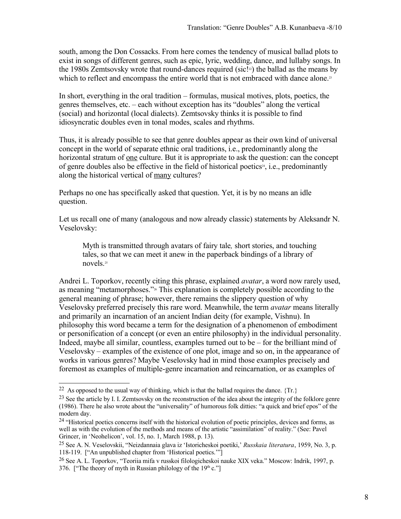south, among the Don Cossacks. From here comes the tendency of musical ballad plots to exist in songs of different genres, such as epic, lyric, wedding, dance, and lullaby songs. In the 1980s Zemtsovsky wrote that round-dances required (sic.<sup>[23]</sup> the ballad as the means by which to reflect and encompass the entire world that is not embraced with dance alone.<sup>[23](#page-7-1)</sup>

In short, everything in the oral tradition – formulas, musical motives, plots, poetics, the genres themselves, etc. – each without exception has its "doubles" along the vertical (social) and horizontal (local dialects). Zemtsovsky thinks it is possible to find idiosyncratic doubles even in tonal modes, scales and rhythms.

Thus, it is already possible to see that genre doubles appear as their own kind of universal concept in the world of separate ethnic oral traditions, i.e., predominantly along the horizontal stratum of <u>one</u> culture. But it is appropriate to ask the question: can the concept of genre doubles also be effective in the field of historical poetics<sup>[24](#page-7-2)</sup>, i.e., predominantly along the historical vertical of many cultures?

Perhaps no one has specifically asked that question. Yet, it is by no means an idle question.

Let us recall one of many (analogous and now already classic) statements by Aleksandr N. Veselovsky:

Myth is transmitted through avatars of fairy tale*,* short stories, and touching tales, so that we can meet it anew in the paperback bindings of a library of novels.[25](#page-7-3)

Andrei L. Toporkov, recently citing this phrase, explained *avatar*, a word now rarely used, as meaning "metamorphoses."[26](#page-7-4) This explanation is completely possible according to the general meaning of phrase; however, there remains the slippery question of why Veselovsky preferred precisely this rare word. Meanwhile, the term *avatar* means literally and primarily an incarnation of an ancient Indian deity (for example, Vishnu). In philosophy this word became a term for the designation of a phenomenon of embodiment or personification of a concept (or even an entire philosophy) in the individual personality. Indeed, maybe all similar, countless, examples turned out to be – for the brilliant mind of Veselovsky – examples of the existence of one plot, image and so on, in the appearance of works in various genres? Maybe Veselovsky had in mind those examples precisely and foremost as examples of multiple-genre incarnation and reincarnation, or as examples of

<span id="page-7-0"></span><sup>&</sup>lt;sup>22</sup> As opposed to the usual way of thinking, which is that the ballad requires the dance.  $\{Tr.\}$ 

<span id="page-7-1"></span><sup>&</sup>lt;sup>23</sup> See the article by I. I. Zemtsovsky on the reconstruction of the idea about the integrity of the folklore genre (1986). There he also wrote about the "universality" of humorous folk ditties: "a quick and brief epos" of the modern day.

<span id="page-7-2"></span><sup>&</sup>lt;sup>24</sup> "Historical poetics concerns itself with the historical evolution of poetic principles, devices and forms, as well as with the evolution of the methods and means of the artistic "assimilation" of reality." (See: Pavel Grincer, in 'Neohelicon', vol. 15, no. 1, March 1988, p. 13).

<span id="page-7-3"></span><sup>25</sup> See A. N. Veselovskii, "Neizdannaia glava iz 'Istoricheskoi poetiki,' *Russkaia literatura*, 1959, No. 3, p. 118-119. ["An unpublished chapter from 'Historical poetics.'"]

<span id="page-7-4"></span><sup>26</sup> See A. L. Toporkov, "Teoriia mifa v russkoi filologicheskoi nauke XIX veka." Moscow: Indrik, 1997, p. 376. ["The theory of myth in Russian philology of the  $19<sup>th</sup>$  c."]